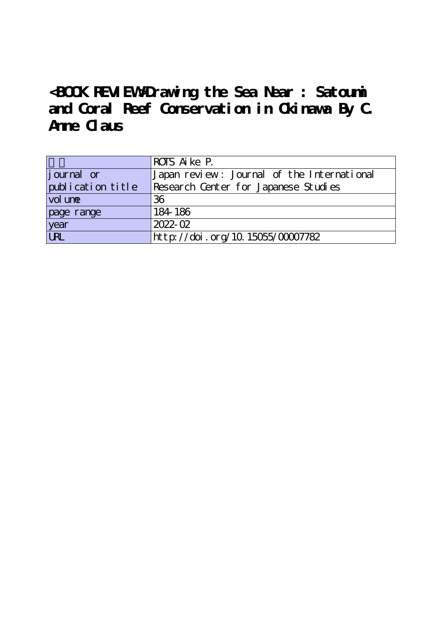**<BOOK REVIEW>Drawing the Sea Near : Satoumi and Coral Reef Conservation in Okinawa By C. Anne Claus**

|                   | ROTS Aike P.                               |
|-------------------|--------------------------------------------|
| journal or        | Japan review: Journal of the International |
| publication title | Research Center for Japanese Studies       |
| vol une           | 36                                         |
| page range        | 184-186                                    |
| year              | $2022 - 02$                                |
| URL               | http://doi.org/10.15055/00007782           |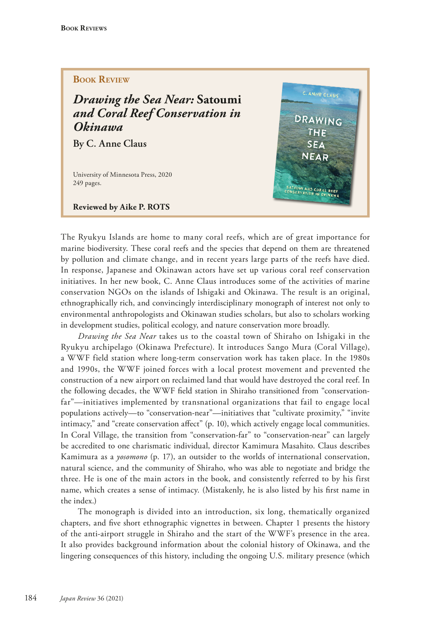## **Book Review**

*Drawing the Sea Near:* **Satoumi** *and Coral Reef Conservation in Okinawa*

**By C. Anne Claus**

University of Minnesota Press, 2020 249 pages.

**Reviewed by Aike P. ROTS**



The Ryukyu Islands are home to many coral reefs, which are of great importance for marine biodiversity. These coral reefs and the species that depend on them are threatened by pollution and climate change, and in recent years large parts of the reefs have died. In response, Japanese and Okinawan actors have set up various coral reef conservation initiatives. In her new book, C. Anne Claus introduces some of the activities of marine conservation NGOs on the islands of Ishigaki and Okinawa. The result is an original, ethnographically rich, and convincingly interdisciplinary monograph of interest not only to environmental anthropologists and Okinawan studies scholars, but also to scholars working in development studies, political ecology, and nature conservation more broadly.

*Drawing the Sea Near* takes us to the coastal town of Shiraho on Ishigaki in the Ryukyu archipelago (Okinawa Prefecture). It introduces Sango Mura (Coral Village), a WWF field station where long-term conservation work has taken place. In the 1980s and 1990s, the WWF joined forces with a local protest movement and prevented the construction of a new airport on reclaimed land that would have destroyed the coral reef. In the following decades, the WWF feld station in Shiraho transitioned from "conservationfar"—initiatives implemented by transnational organizations that fail to engage local populations actively—to "conservation-near"—initiatives that "cultivate proximity," "invite intimacy," and "create conservation afect" (p. 10), which actively engage local communities. In Coral Village, the transition from "conservation-far" to "conservation-near" can largely be accredited to one charismatic individual, director Kamimura Masahito. Claus describes Kamimura as a *yosomono* (p. 17), an outsider to the worlds of international conservation, natural science, and the community of Shiraho, who was able to negotiate and bridge the three. He is one of the main actors in the book, and consistently referred to by his first name, which creates a sense of intimacy. (Mistakenly, he is also listed by his frst name in the index.)

The monograph is divided into an introduction, six long, thematically organized chapters, and fve short ethnographic vignettes in between. Chapter 1 presents the history of the anti-airport struggle in Shiraho and the start of the WWF's presence in the area. It also provides background information about the colonial history of Okinawa, and the lingering consequences of this history, including the ongoing U.S. military presence (which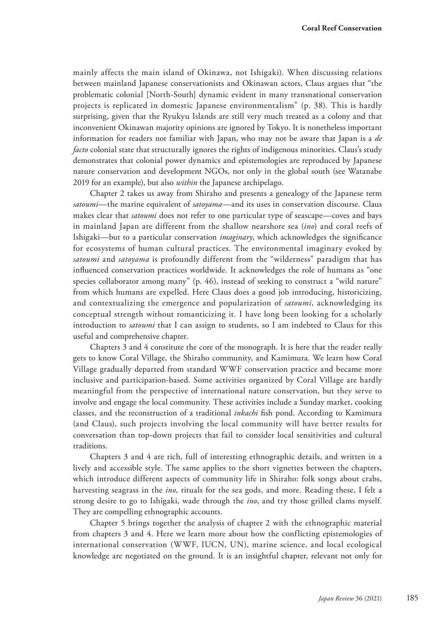mainly affects the main island of Okinawa, not Ishigaki). When discussing relations between mainland Japanese conservationists and Okinawan actors, Claus argues that "the problematic colonial [North-South] dynamic evident in many transnational conservation projects is replicated in domestic Japanese environmentalism" (p. 38). This is hardly surprising, given that the Ryukyu Islands are still very much treated as a colony and that inconvenient Okinawan majority opinions are ignored by Tokyo. It is nonetheless important information for readers not familiar with Japan, who may not be aware that Japan is a *de facto* colonial state that structurally ignores the rights of indigenous minorities. Claus's study demonstrates that colonial power dynamics and epistemologies are reproduced by Japanese nature conservation and development NGOs, not only in the global south (see Watanabe 2019 for an example), but also *within* the Japanese archipelago.

Chapter 2 takes us away from Shiraho and presents a genealogy of the Japanese term *satoumi*—the marine equivalent of *satoyama*—and its uses in conservation discourse. Claus makes clear that *satoumi* does not refer to one particular type of seascape—coves and bays in mainland Japan are different from the shallow nearshore sea (*ino*) and coral reefs of Ishigaki—but to a particular conservation *imaginary*, which acknowledges the signifcance for ecosystems of human cultural practices. The environmental imaginary evoked by *satoumi* and *satoyama* is profoundly different from the "wilderness" paradigm that has infuenced conservation practices worldwide. It acknowledges the role of humans as "one species collaborator among many" (p. 46), instead of seeking to construct a "wild nature" from which humans are expelled. Here Claus does a good job introducing, historicizing, and contextualizing the emergence and popularization of *satoumi*, acknowledging its conceptual strength without romanticizing it. I have long been looking for a scholarly introduction to *satoumi* that I can assign to students, so I am indebted to Claus for this useful and comprehensive chapter.

Chapters 3 and 4 constitute the core of the monograph. It is here that the reader really gets to know Coral Village, the Shiraho community, and Kamimura. We learn how Coral Village gradually departed from standard WWF conservation practice and became more inclusive and participation-based. Some activities organized by Coral Village are hardly meaningful from the perspective of international nature conservation, but they serve to involve and engage the local community. These activities include a Sunday market, cooking classes, and the reconstruction of a traditional *inkachi* fsh pond. According to Kamimura (and Claus), such projects involving the local community will have better results for conversation than top-down projects that fail to consider local sensitivities and cultural traditions.

Chapters 3 and 4 are rich, full of interesting ethnographic details, and written in a lively and accessible style. The same applies to the short vignettes between the chapters, which introduce different aspects of community life in Shiraho: folk songs about crabs, harvesting seagrass in the *ino*, rituals for the sea gods, and more. Reading these, I felt a strong desire to go to Ishigaki, wade through the *ino*, and try those grilled clams myself. They are compelling ethnographic accounts.

Chapter 5 brings together the analysis of chapter 2 with the ethnographic material from chapters 3 and 4. Here we learn more about how the conflicting epistemologies of international conservation (WWF, IUCN, UN), marine science, and local ecological knowledge are negotiated on the ground. It is an insightful chapter, relevant not only for